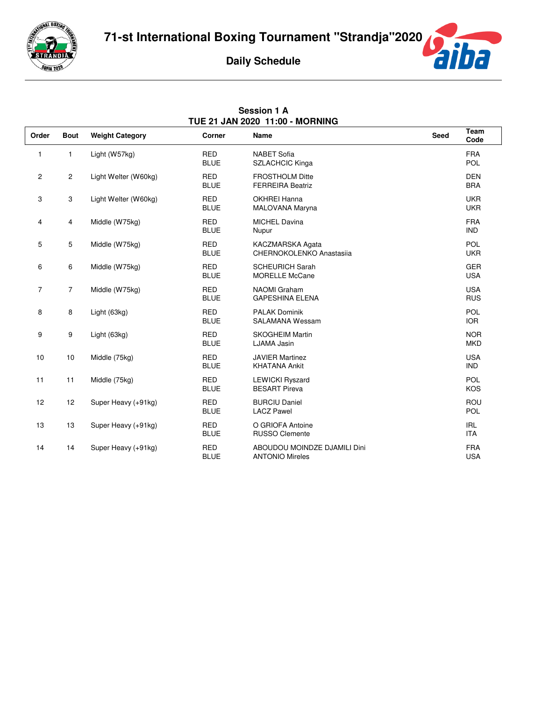

**Session 1 A**



| TUE 21 JAN 2020 11:00 - MORNING |                |                        |                           |                                                        |             |                          |  |
|---------------------------------|----------------|------------------------|---------------------------|--------------------------------------------------------|-------------|--------------------------|--|
| Order                           | <b>Bout</b>    | <b>Weight Category</b> | Corner                    | Name                                                   | <b>Seed</b> | Team<br>Code             |  |
| 1                               | 1              | Light (W57kg)          | <b>RED</b><br><b>BLUE</b> | <b>NABET Sofia</b><br><b>SZLACHCIC Kinga</b>           |             | <b>FRA</b><br>POL        |  |
| $\mathbf{2}$                    | $\mathbf{2}$   | Light Welter (W60kg)   | <b>RED</b><br><b>BLUE</b> | <b>FROSTHOLM Ditte</b><br><b>FERREIRA Beatriz</b>      |             | <b>DEN</b><br><b>BRA</b> |  |
| 3                               | 3              | Light Welter (W60kg)   | <b>RED</b><br><b>BLUE</b> | <b>OKHREI Hanna</b><br>MALOVANA Maryna                 |             | <b>UKR</b><br><b>UKR</b> |  |
| 4                               | 4              | Middle (W75kg)         | <b>RED</b><br><b>BLUE</b> | <b>MICHEL Davina</b><br>Nupur                          |             | <b>FRA</b><br><b>IND</b> |  |
| 5                               | 5              | Middle (W75kg)         | <b>RED</b><br><b>BLUE</b> | KACZMARSKA Agata<br>CHERNOKOLENKO Anastasija           |             | <b>POL</b><br><b>UKR</b> |  |
| 6                               | 6              | Middle (W75kg)         | <b>RED</b><br><b>BLUE</b> | <b>SCHEURICH Sarah</b><br><b>MORELLE McCane</b>        |             | <b>GER</b><br><b>USA</b> |  |
| $\overline{7}$                  | $\overline{7}$ | Middle (W75kg)         | <b>RED</b><br><b>BLUE</b> | <b>NAOMI</b> Graham<br><b>GAPESHINA ELENA</b>          |             | <b>USA</b><br><b>RUS</b> |  |
| 8                               | 8              | Light (63kg)           | <b>RED</b><br><b>BLUE</b> | <b>PALAK Dominik</b><br><b>SALAMANA Wessam</b>         |             | <b>POL</b><br><b>IOR</b> |  |
| 9                               | 9              | Light (63kg)           | <b>RED</b><br><b>BLUE</b> | <b>SKOGHEIM Martin</b><br>LJAMA Jasin                  |             | <b>NOR</b><br><b>MKD</b> |  |
| 10                              | 10             | Middle (75kg)          | <b>RED</b><br><b>BLUE</b> | <b>JAVIER Martinez</b><br><b>KHATANA Ankit</b>         |             | <b>USA</b><br><b>IND</b> |  |
| 11                              | 11             | Middle (75kg)          | <b>RED</b><br><b>BLUE</b> | <b>LEWICKI Ryszard</b><br><b>BESART Pireva</b>         |             | <b>POL</b><br><b>KOS</b> |  |
| 12                              | 12             | Super Heavy (+91kg)    | <b>RED</b><br><b>BLUE</b> | <b>BURCIU Daniel</b><br><b>LACZ Pawel</b>              |             | ROU<br><b>POL</b>        |  |
| 13                              | 13             | Super Heavy (+91kg)    | <b>RED</b><br><b>BLUE</b> | O GRIOFA Antoine<br><b>RUSSO Clemente</b>              |             | <b>IRL</b><br><b>ITA</b> |  |
| 14                              | 14             | Super Heavy (+91kg)    | <b>RED</b><br><b>BLUE</b> | ABOUDOU MOINDZE DJAMILI Dini<br><b>ANTONIO Mireles</b> |             | <b>FRA</b><br><b>USA</b> |  |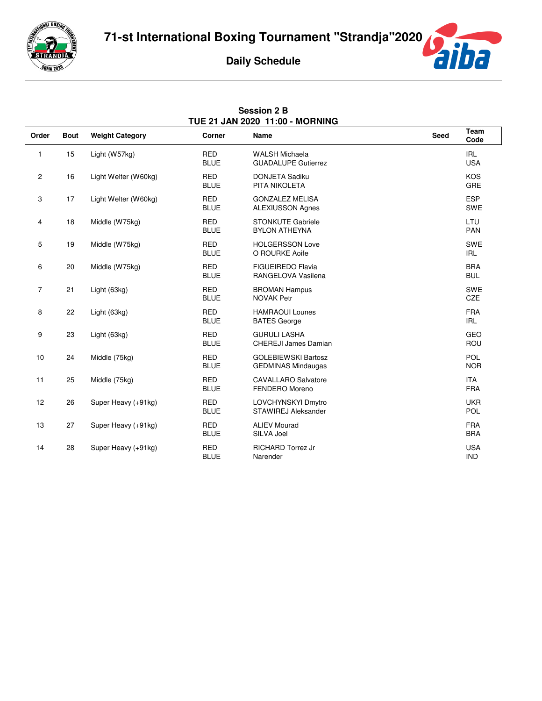

**Session 2 B**



| TUE 21 JAN 2020 11:00 - MORNING |             |                        |                           |                                                         |             |                          |  |
|---------------------------------|-------------|------------------------|---------------------------|---------------------------------------------------------|-------------|--------------------------|--|
| Order                           | <b>Bout</b> | <b>Weight Category</b> | Corner                    | <b>Name</b>                                             | <b>Seed</b> | Team<br>Code             |  |
| $\mathbf{1}$                    | 15          | Light (W57kg)          | <b>RED</b><br><b>BLUE</b> | <b>WALSH Michaela</b><br><b>GUADALUPE Gutierrez</b>     |             | <b>IRL</b><br><b>USA</b> |  |
| $\overline{c}$                  | 16          | Light Welter (W60kg)   | <b>RED</b><br><b>BLUE</b> | <b>DONJETA Sadiku</b><br>PITA NIKOLETA                  |             | <b>KOS</b><br>GRE        |  |
| 3                               | 17          | Light Welter (W60kg)   | <b>RED</b><br><b>BLUE</b> | <b>GONZALEZ MELISA</b><br><b>ALEXIUSSON Agnes</b>       |             | <b>ESP</b><br>SWE        |  |
| 4                               | 18          | Middle (W75kg)         | <b>RED</b><br><b>BLUE</b> | <b>STONKUTE Gabriele</b><br><b>BYLON ATHEYNA</b>        |             | LTU<br>PAN               |  |
| 5                               | 19          | Middle (W75kg)         | <b>RED</b><br><b>BLUE</b> | <b>HOLGERSSON Love</b><br>O ROURKE Aoife                |             | SWE<br><b>IRL</b>        |  |
| 6                               | 20          | Middle (W75kg)         | <b>RED</b><br><b>BLUE</b> | <b>FIGUEIREDO Flavia</b><br>RANGELOVA Vasilena          |             | <b>BRA</b><br><b>BUL</b> |  |
| $\overline{7}$                  | 21          | Light (63kg)           | <b>RED</b><br><b>BLUE</b> | <b>BROMAN Hampus</b><br><b>NOVAK Petr</b>               |             | <b>SWE</b><br>CZE        |  |
| 8                               | 22          | Light (63kg)           | <b>RED</b><br><b>BLUE</b> | <b>HAMRAOUI Lounes</b><br><b>BATES George</b>           |             | <b>FRA</b><br><b>IRL</b> |  |
| 9                               | 23          | Light (63kg)           | <b>RED</b><br><b>BLUE</b> | <b>GURULI LASHA</b><br><b>CHEREJI James Damian</b>      |             | <b>GEO</b><br>ROU        |  |
| 10                              | 24          | Middle (75kg)          | <b>RED</b><br><b>BLUE</b> | <b>GOLEBIEWSKI Bartosz</b><br><b>GEDMINAS Mindaugas</b> |             | <b>POL</b><br><b>NOR</b> |  |
| 11                              | 25          | Middle (75kg)          | <b>RED</b><br><b>BLUE</b> | <b>CAVALLARO Salvatore</b><br>FENDERO Moreno            |             | <b>ITA</b><br><b>FRA</b> |  |
| 12                              | 26          | Super Heavy (+91kg)    | <b>RED</b><br><b>BLUE</b> | LOVCHYNSKYI Dmytro<br>STAWIREJ Aleksander               |             | <b>UKR</b><br><b>POL</b> |  |
| 13                              | 27          | Super Heavy (+91kg)    | <b>RED</b><br><b>BLUE</b> | <b>ALIEV Mourad</b><br>SILVA Joel                       |             | <b>FRA</b><br><b>BRA</b> |  |
| 14                              | 28          | Super Heavy (+91kg)    | <b>RED</b><br><b>BLUE</b> | <b>RICHARD Torrez Jr</b><br>Narender                    |             | <b>USA</b><br><b>IND</b> |  |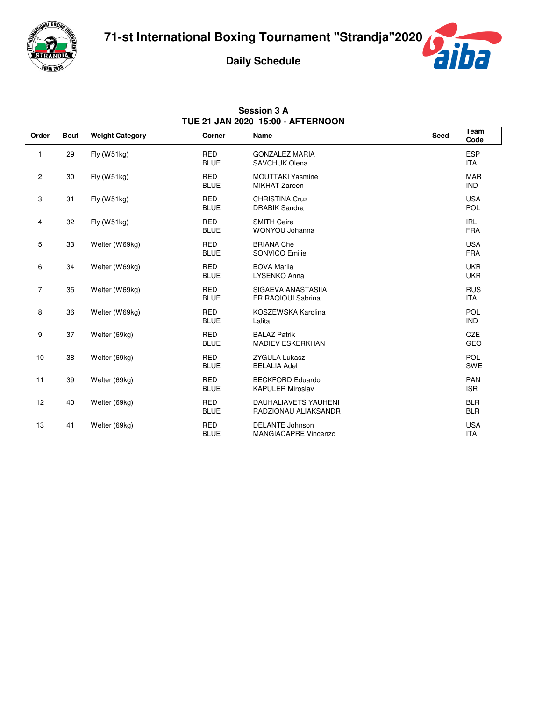

**Session 3 A**



|                | TUE 21 JAN 2020 15:00 - AFTERNOON |                        |                           |                                                       |             |                          |  |  |
|----------------|-----------------------------------|------------------------|---------------------------|-------------------------------------------------------|-------------|--------------------------|--|--|
| Order          | <b>Bout</b>                       | <b>Weight Category</b> | Corner                    | Name                                                  | <b>Seed</b> | Team<br>Code             |  |  |
| 1              | 29                                | Fly (W51kg)            | <b>RED</b><br><b>BLUE</b> | <b>GONZALEZ MARIA</b><br><b>SAVCHUK Olena</b>         |             | <b>ESP</b><br><b>ITA</b> |  |  |
| $\overline{c}$ | 30                                | Fly (W51kg)            | <b>RED</b><br><b>BLUE</b> | <b>MOUTTAKI Yasmine</b><br><b>MIKHAT Zareen</b>       |             | <b>MAR</b><br><b>IND</b> |  |  |
| 3              | 31                                | $Fly$ (W51 $kg$ )      | <b>RED</b><br><b>BLUE</b> | <b>CHRISTINA Cruz</b><br><b>DRABIK Sandra</b>         |             | <b>USA</b><br>POL        |  |  |
| 4              | 32                                | $Fly$ (W51 $kg$ )      | <b>RED</b><br><b>BLUE</b> | <b>SMITH Ceire</b><br>WONYOU Johanna                  |             | <b>IRL</b><br><b>FRA</b> |  |  |
| 5              | 33                                | Welter (W69kg)         | <b>RED</b><br><b>BLUE</b> | <b>BRIANA Che</b><br>SONVICO Emilie                   |             | <b>USA</b><br><b>FRA</b> |  |  |
| 6              | 34                                | Welter (W69kg)         | <b>RED</b><br><b>BLUE</b> | <b>BOVA Marija</b><br>LYSENKO Anna                    |             | <b>UKR</b><br><b>UKR</b> |  |  |
| 7              | 35                                | Welter (W69kg)         | <b>RED</b><br><b>BLUE</b> | SIGAEVA ANASTASIIA<br>ER RAQIOUI Sabrina              |             | <b>RUS</b><br><b>ITA</b> |  |  |
| 8              | 36                                | Welter (W69kg)         | <b>RED</b><br><b>BLUE</b> | KOSZEWSKA Karolina<br>Lalita                          |             | POL<br><b>IND</b>        |  |  |
| 9              | 37                                | Welter (69kg)          | <b>RED</b><br><b>BLUE</b> | <b>BALAZ Patrik</b><br><b>MADIEV ESKERKHAN</b>        |             | <b>CZE</b><br>GEO        |  |  |
| $10$           | 38                                | Welter (69kg)          | <b>RED</b><br><b>BLUE</b> | <b>ZYGULA Lukasz</b><br><b>BELALIA Adel</b>           |             | <b>POL</b><br><b>SWE</b> |  |  |
| 11             | 39                                | Welter (69kg)          | <b>RED</b><br><b>BLUE</b> | <b>BECKFORD Eduardo</b><br><b>KAPULER Miroslav</b>    |             | PAN<br><b>ISR</b>        |  |  |
| 12             | 40                                | Welter (69kg)          | <b>RED</b><br><b>BLUE</b> | <b>DAUHALIAVETS YAUHENI</b><br>RADZIONAU ALIAKSANDR   |             | <b>BLR</b><br><b>BLR</b> |  |  |
| 13             | 41                                | Welter (69kg)          | <b>RED</b><br><b>BLUE</b> | <b>DELANTE Johnson</b><br><b>MANGIACAPRE Vincenzo</b> |             | <b>USA</b><br><b>ITA</b> |  |  |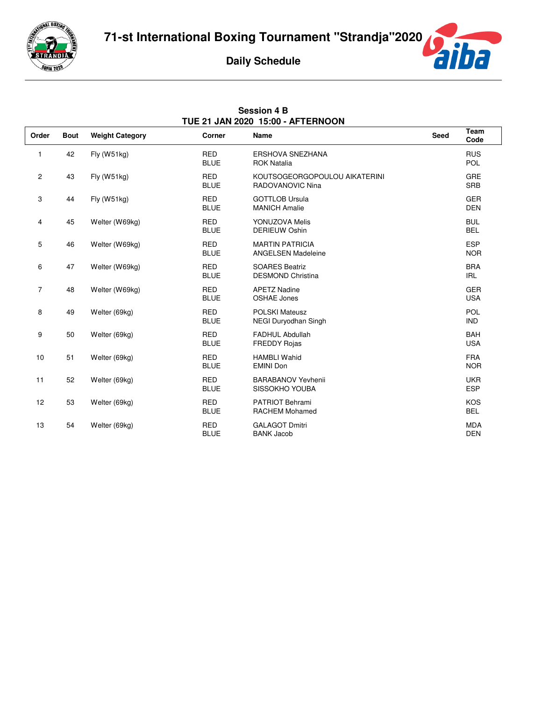

**Session 4 B**



|                | TUE 21 JAN 2020 15:00 - AFTERNOON |                        |                           |                                                     |             |                          |  |
|----------------|-----------------------------------|------------------------|---------------------------|-----------------------------------------------------|-------------|--------------------------|--|
| Order          | <b>Bout</b>                       | <b>Weight Category</b> | Corner                    | Name                                                | <b>Seed</b> | Team<br>Code             |  |
| 1              | 42                                | Fly (W51kg)            | <b>RED</b><br><b>BLUE</b> | <b>ERSHOVA SNEZHANA</b><br><b>ROK Natalia</b>       |             | <b>RUS</b><br><b>POL</b> |  |
| $\overline{2}$ | 43                                | $Fly$ (W51 $kg$ )      | <b>RED</b><br><b>BLUE</b> | KOUTSOGEORGOPOULOU AIKATERINI<br>RADOVANOVIC Nina   |             | GRE<br><b>SRB</b>        |  |
| 3              | 44                                | $Fly$ (W51 $kg$ )      | <b>RED</b><br><b>BLUE</b> | <b>GOTTLOB Ursula</b><br><b>MANICH Amalie</b>       |             | <b>GER</b><br><b>DEN</b> |  |
| 4              | 45                                | Welter (W69kg)         | <b>RED</b><br><b>BLUE</b> | YONUZOVA Melis<br><b>DERIEUW Oshin</b>              |             | <b>BUL</b><br><b>BEL</b> |  |
| 5              | 46                                | Welter (W69kg)         | <b>RED</b><br><b>BLUE</b> | <b>MARTIN PATRICIA</b><br><b>ANGELSEN Madeleine</b> |             | <b>ESP</b><br><b>NOR</b> |  |
| 6              | 47                                | Welter (W69kg)         | <b>RED</b><br><b>BLUE</b> | <b>SOARES Beatriz</b><br><b>DESMOND Christina</b>   |             | <b>BRA</b><br><b>IRL</b> |  |
| $\overline{7}$ | 48                                | Welter (W69kg)         | <b>RED</b><br><b>BLUE</b> | <b>APETZ Nadine</b><br><b>OSHAE Jones</b>           |             | <b>GER</b><br><b>USA</b> |  |
| 8              | 49                                | Welter (69kg)          | <b>RED</b><br><b>BLUE</b> | <b>POLSKI Mateusz</b><br>NEGI Duryodhan Singh       |             | POL<br><b>IND</b>        |  |
| 9              | 50                                | Welter (69kg)          | <b>RED</b><br><b>BLUE</b> | <b>FADHUL Abdullah</b><br><b>FREDDY Rojas</b>       |             | <b>BAH</b><br><b>USA</b> |  |
| 10             | 51                                | Welter (69kg)          | <b>RED</b><br><b>BLUE</b> | <b>HAMBLI Wahid</b><br><b>EMINI Don</b>             |             | <b>FRA</b><br><b>NOR</b> |  |
| 11             | 52                                | Welter (69kg)          | <b>RED</b><br><b>BLUE</b> | <b>BARABANOV Yevhenii</b><br>SISSOKHO YOUBA         |             | <b>UKR</b><br><b>ESP</b> |  |
| 12             | 53                                | Welter (69kg)          | <b>RED</b><br><b>BLUE</b> | <b>PATRIOT Behrami</b><br><b>RACHEM Mohamed</b>     |             | <b>KOS</b><br><b>BEL</b> |  |
| 13             | 54                                | Welter (69kg)          | <b>RED</b><br><b>BLUE</b> | <b>GALAGOT Dmitri</b><br><b>BANK Jacob</b>          |             | <b>MDA</b><br><b>DEN</b> |  |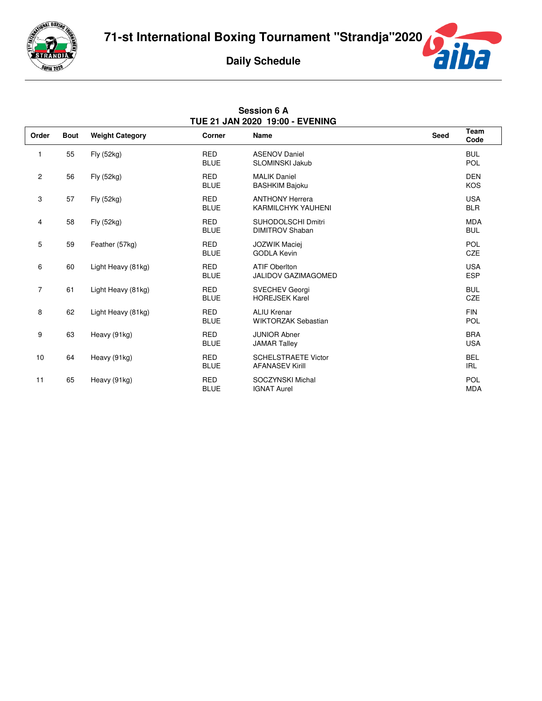

**Session 6 A**



| TUE 21 JAN 2020 19:00 - EVENING |             |                        |                           |                                                      |      |                          |  |
|---------------------------------|-------------|------------------------|---------------------------|------------------------------------------------------|------|--------------------------|--|
| Order                           | <b>Bout</b> | <b>Weight Category</b> | Corner                    | Name                                                 | Seed | Team<br>Code             |  |
| 1                               | 55          | Fly (52kg)             | <b>RED</b><br><b>BLUE</b> | <b>ASENOV Daniel</b><br><b>SLOMINSKI Jakub</b>       |      | <b>BUL</b><br>POL        |  |
| $\mathbf{2}$                    | 56          | Fly (52kg)             | <b>RED</b><br><b>BLUE</b> | <b>MALIK Daniel</b><br><b>BASHKIM Bajoku</b>         |      | <b>DEN</b><br>KOS        |  |
| 3                               | 57          | Fly (52kg)             | <b>RED</b><br><b>BLUE</b> | <b>ANTHONY Herrera</b><br><b>KARMILCHYK YAUHENI</b>  |      | <b>USA</b><br><b>BLR</b> |  |
| 4                               | 58          | Fly (52kg)             | <b>RED</b><br><b>BLUE</b> | SUHODOLSCHI Dmitri<br><b>DIMITROV Shaban</b>         |      | <b>MDA</b><br><b>BUL</b> |  |
| 5                               | 59          | Feather (57kg)         | <b>RED</b><br><b>BLUE</b> | <b>JOZWIK Maciei</b><br><b>GODLA Kevin</b>           |      | POL<br>CZE               |  |
| 6                               | 60          | Light Heavy (81kg)     | <b>RED</b><br><b>BLUE</b> | <b>ATIF OberIton</b><br><b>JALIDOV GAZIMAGOMED</b>   |      | <b>USA</b><br><b>ESP</b> |  |
| $\overline{7}$                  | 61          | Light Heavy (81kg)     | <b>RED</b><br><b>BLUE</b> | <b>SVECHEV Georgi</b><br><b>HOREJSEK Karel</b>       |      | <b>BUL</b><br>CZE        |  |
| 8                               | 62          | Light Heavy (81kg)     | <b>RED</b><br><b>BLUE</b> | <b>ALIU Krenar</b><br><b>WIKTORZAK Sebastian</b>     |      | <b>FIN</b><br>POL        |  |
| 9                               | 63          | Heavy (91kg)           | <b>RED</b><br><b>BLUE</b> | <b>JUNIOR Abner</b><br><b>JAMAR Talley</b>           |      | <b>BRA</b><br><b>USA</b> |  |
| 10                              | 64          | Heavy (91kg)           | <b>RED</b><br><b>BLUE</b> | <b>SCHELSTRAETE Victor</b><br><b>AFANASEV Kirill</b> |      | <b>BEL</b><br><b>IRL</b> |  |
| 11                              | 65          | Heavy (91kg)           | <b>RED</b><br><b>BLUE</b> | SOCZYNSKI Michal<br><b>IGNAT Aurel</b>               |      | POL<br><b>MDA</b>        |  |